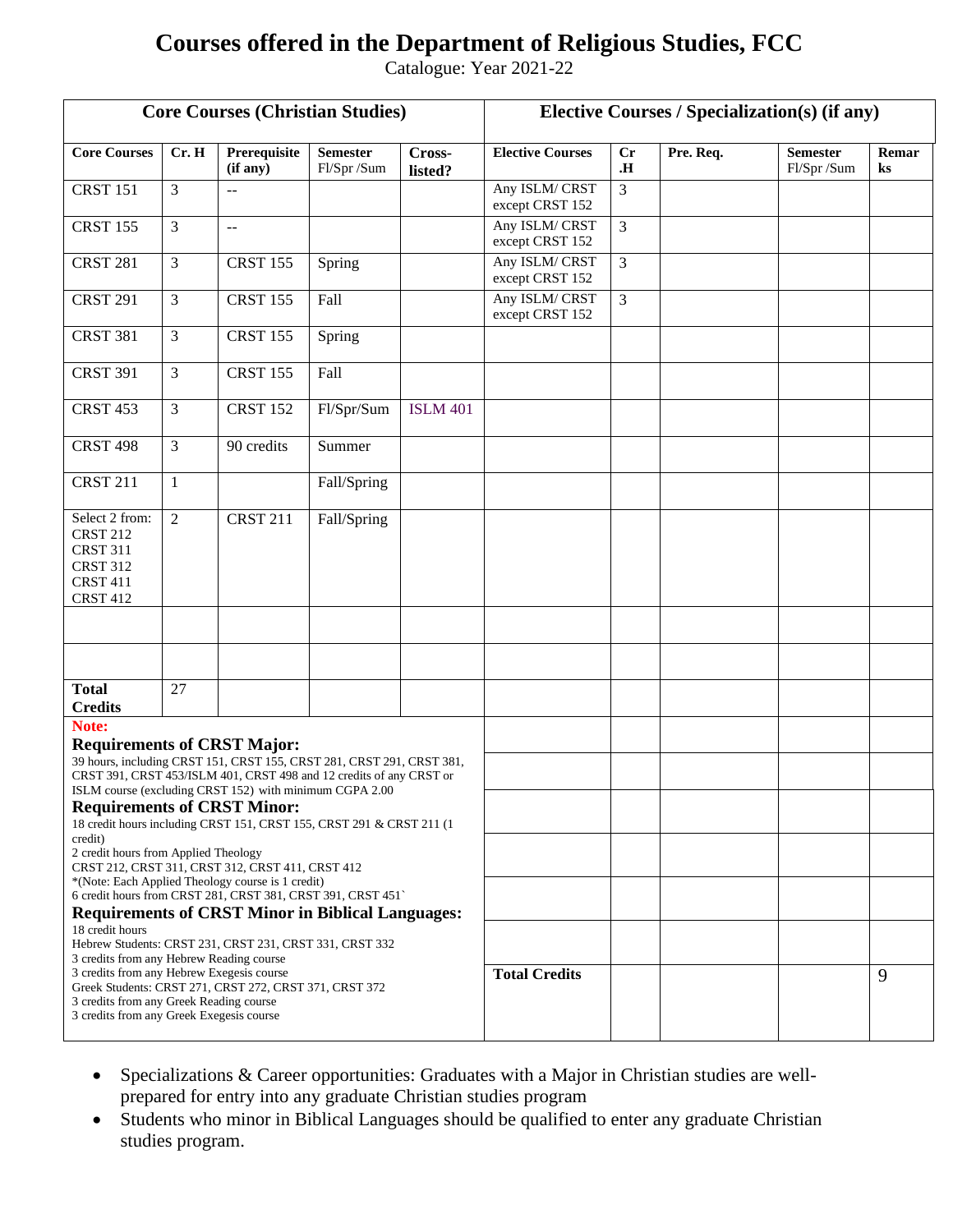## **Courses offered in the Department of Religious Studies, FCC**

Catalogue: Year 2021-22

| <b>Core Courses (Christian Studies)</b>                                                                                          |                |                                                                                                                                                                              |                               |                   | <b>Elective Courses / Specialization(s) (if any)</b> |                |           |                               |                         |
|----------------------------------------------------------------------------------------------------------------------------------|----------------|------------------------------------------------------------------------------------------------------------------------------------------------------------------------------|-------------------------------|-------------------|------------------------------------------------------|----------------|-----------|-------------------------------|-------------------------|
| <b>Core Courses</b>                                                                                                              | Cr. H          | Prerequisite<br>(if any)                                                                                                                                                     | <b>Semester</b><br>Fl/Spr/Sum | Cross-<br>listed? | <b>Elective Courses</b>                              | Cr<br>.H.      | Pre. Req. | <b>Semester</b><br>Fl/Spr/Sum | Remar<br>$\mathbf{k}$ s |
| <b>CRST 151</b>                                                                                                                  | 3              | $-$                                                                                                                                                                          |                               |                   | Any ISLM/CRST<br>except CRST 152                     | $\overline{3}$ |           |                               |                         |
| <b>CRST 155</b>                                                                                                                  | 3              | $-$                                                                                                                                                                          |                               |                   | Any ISLM/CRST<br>except CRST 152                     | 3              |           |                               |                         |
| <b>CRST 281</b>                                                                                                                  | 3              | <b>CRST 155</b>                                                                                                                                                              | Spring                        |                   | Any ISLM/CRST<br>except CRST 152                     | $\overline{3}$ |           |                               |                         |
| <b>CRST 291</b>                                                                                                                  | 3              | <b>CRST 155</b>                                                                                                                                                              | Fall                          |                   | Any ISLM/CRST<br>except CRST 152                     | $\overline{3}$ |           |                               |                         |
| <b>CRST 381</b>                                                                                                                  | 3              | <b>CRST 155</b>                                                                                                                                                              | Spring                        |                   |                                                      |                |           |                               |                         |
| <b>CRST 391</b>                                                                                                                  | 3              | <b>CRST 155</b>                                                                                                                                                              | Fall                          |                   |                                                      |                |           |                               |                         |
| <b>CRST 453</b>                                                                                                                  | 3              | <b>CRST 152</b>                                                                                                                                                              | Fl/Spr/Sum                    | <b>ISLM 401</b>   |                                                      |                |           |                               |                         |
| <b>CRST 498</b>                                                                                                                  | 3              | 90 credits                                                                                                                                                                   | Summer                        |                   |                                                      |                |           |                               |                         |
| <b>CRST 211</b>                                                                                                                  | 1              |                                                                                                                                                                              | Fall/Spring                   |                   |                                                      |                |           |                               |                         |
| Select 2 from:<br><b>CRST 212</b><br><b>CRST 311</b><br><b>CRST 312</b><br><b>CRST 411</b><br><b>CRST 412</b>                    | $\overline{2}$ | <b>CRST 211</b>                                                                                                                                                              | Fall/Spring                   |                   |                                                      |                |           |                               |                         |
|                                                                                                                                  |                |                                                                                                                                                                              |                               |                   |                                                      |                |           |                               |                         |
| <b>Total</b><br><b>Credits</b>                                                                                                   | 27             |                                                                                                                                                                              |                               |                   |                                                      |                |           |                               |                         |
| Note:<br><b>Requirements of CRST Major:</b>                                                                                      |                | 39 hours, including CRST 151, CRST 155, CRST 281, CRST 291, CRST 381,<br>CRST 391, CRST 453/ISLM 401, CRST 498 and 12 credits of any CRST or                                 |                               |                   |                                                      |                |           |                               |                         |
| <b>Requirements of CRST Minor:</b>                                                                                               |                | ISLM course (excluding CRST 152) with minimum CGPA 2.00<br>18 credit hours including CRST 151, CRST 155, CRST 291 & CRST 211 (1                                              |                               |                   |                                                      |                |           |                               |                         |
| credit)<br>2 credit hours from Applied Theology                                                                                  |                | CRST 212, CRST 311, CRST 312, CRST 411, CRST 412                                                                                                                             |                               |                   |                                                      |                |           |                               |                         |
|                                                                                                                                  |                | *(Note: Each Applied Theology course is 1 credit)<br>6 credit hours from CRST 281, CRST 381, CRST 391, CRST 451`<br><b>Requirements of CRST Minor in Biblical Languages:</b> |                               |                   |                                                      |                |           |                               |                         |
| 18 credit hours<br>3 credits from any Hebrew Reading course                                                                      |                | Hebrew Students: CRST 231, CRST 231, CRST 331, CRST 332                                                                                                                      |                               |                   |                                                      |                |           |                               |                         |
| 3 credits from any Hebrew Exegesis course<br>3 credits from any Greek Reading course<br>3 credits from any Greek Exegesis course |                | Greek Students: CRST 271, CRST 272, CRST 371, CRST 372                                                                                                                       |                               |                   | <b>Total Credits</b>                                 |                |           |                               | 9                       |

- Specializations & Career opportunities: Graduates with a Major in Christian studies are wellprepared for entry into any graduate Christian studies program
- Students who minor in Biblical Languages should be qualified to enter any graduate Christian studies program.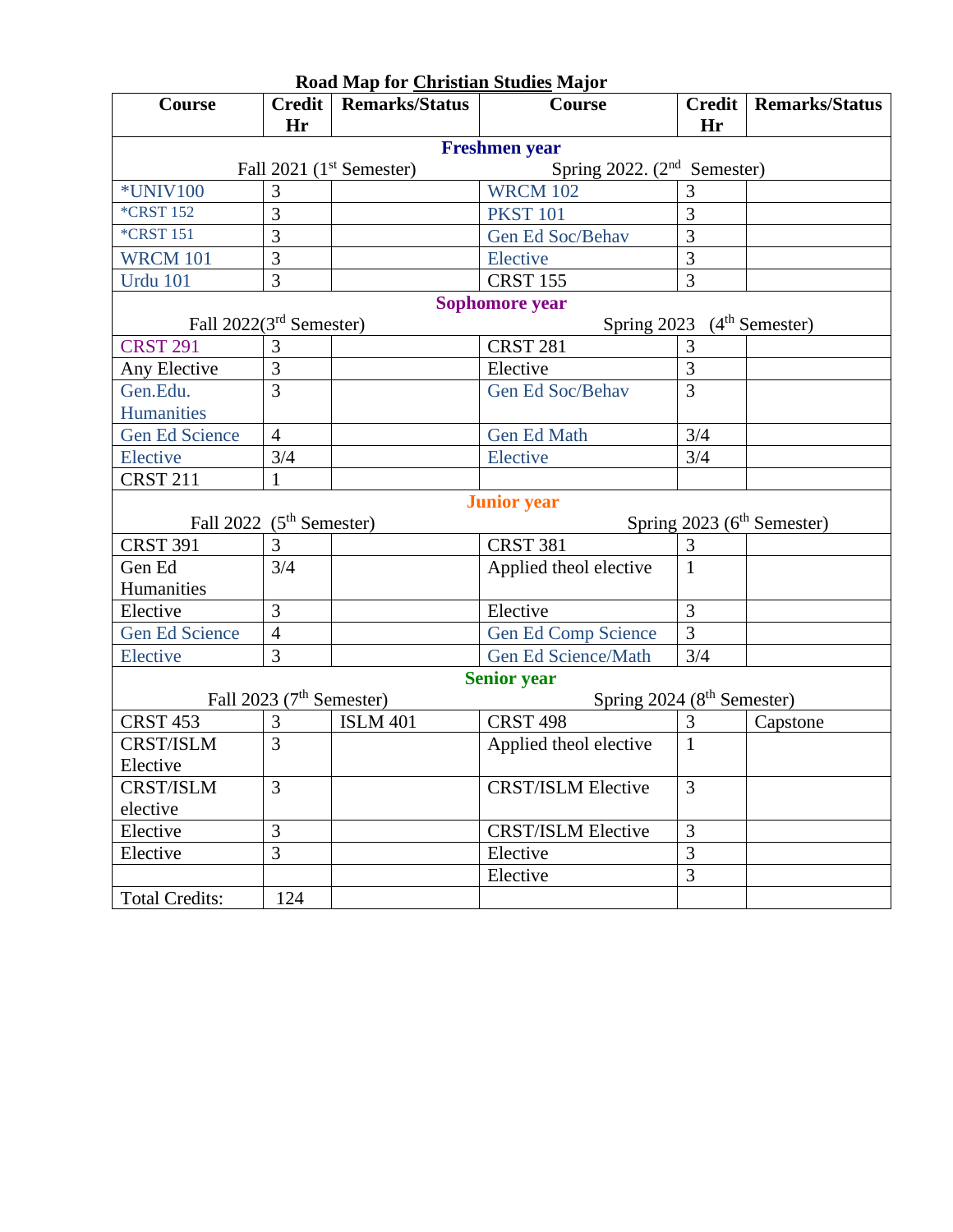| Road Map for Christian Studies Major                                    |                            |                       |                                        |                |                                        |  |  |  |  |  |  |  |
|-------------------------------------------------------------------------|----------------------------|-----------------------|----------------------------------------|----------------|----------------------------------------|--|--|--|--|--|--|--|
| Course                                                                  | <b>Credit</b>              | <b>Remarks/Status</b> | Course                                 | <b>Credit</b>  | <b>Remarks/Status</b>                  |  |  |  |  |  |  |  |
|                                                                         | Hr                         |                       |                                        | Hr             |                                        |  |  |  |  |  |  |  |
| <b>Freshmen</b> year                                                    |                            |                       |                                        |                |                                        |  |  |  |  |  |  |  |
| Spring 2022. $(2nd$ Semester)<br>Fall $2021$ (1 <sup>st</sup> Semester) |                            |                       |                                        |                |                                        |  |  |  |  |  |  |  |
| <b>*UNIV100</b>                                                         | 3                          |                       | <b>WRCM 102</b>                        | 3              |                                        |  |  |  |  |  |  |  |
| <b>*CRST 152</b>                                                        | 3                          |                       | <b>PKST 101</b>                        |                |                                        |  |  |  |  |  |  |  |
| <b>*CRST 151</b>                                                        | 3                          |                       | Gen Ed Soc/Behav                       |                |                                        |  |  |  |  |  |  |  |
| <b>WRCM 101</b>                                                         | 3                          |                       | Elective                               |                |                                        |  |  |  |  |  |  |  |
| <b>Urdu 101</b>                                                         | 3                          |                       | <b>CRST 155</b>                        | $\overline{3}$ |                                        |  |  |  |  |  |  |  |
| Sophomore year                                                          |                            |                       |                                        |                |                                        |  |  |  |  |  |  |  |
| Fall $2022(3rd$ Semester)<br>Spring 2023<br>$(4th$ Semester)            |                            |                       |                                        |                |                                        |  |  |  |  |  |  |  |
| <b>CRST 291</b>                                                         | 3                          |                       | <b>CRST 281</b>                        | 3              |                                        |  |  |  |  |  |  |  |
| Any Elective                                                            | 3                          |                       | Elective                               | 3              |                                        |  |  |  |  |  |  |  |
| Gen.Edu.                                                                | $\overline{3}$             | Gen Ed Soc/Behav      |                                        | 3              |                                        |  |  |  |  |  |  |  |
| <b>Humanities</b>                                                       |                            |                       |                                        |                |                                        |  |  |  |  |  |  |  |
| <b>Gen Ed Science</b>                                                   | $\overline{4}$             |                       | <b>Gen Ed Math</b>                     | 3/4            |                                        |  |  |  |  |  |  |  |
| <b>Elective</b>                                                         | 3/4                        |                       | Elective                               | 3/4            |                                        |  |  |  |  |  |  |  |
| <b>CRST 211</b>                                                         | 1                          |                       |                                        |                |                                        |  |  |  |  |  |  |  |
|                                                                         |                            |                       | <b>Junior</b> year                     |                |                                        |  |  |  |  |  |  |  |
| Fall 2022 $(5th$ Semester)                                              |                            |                       |                                        |                | Spring 2023 (6 <sup>th</sup> Semester) |  |  |  |  |  |  |  |
| <b>CRST 391</b>                                                         | 3                          |                       | <b>CRST 381</b>                        | 3              |                                        |  |  |  |  |  |  |  |
| Gen Ed                                                                  | 3/4                        |                       | Applied theol elective                 | $\mathbf{1}$   |                                        |  |  |  |  |  |  |  |
| Humanities                                                              |                            |                       |                                        |                |                                        |  |  |  |  |  |  |  |
| Elective                                                                | 3<br>Elective              |                       |                                        | 3              |                                        |  |  |  |  |  |  |  |
| <b>Gen Ed Science</b>                                                   | $\overline{4}$             |                       | Gen Ed Comp Science                    | 3              |                                        |  |  |  |  |  |  |  |
| Elective                                                                | $\overline{3}$             |                       | <b>Gen Ed Science/Math</b>             | 3/4            |                                        |  |  |  |  |  |  |  |
|                                                                         |                            |                       | <b>Senior year</b>                     |                |                                        |  |  |  |  |  |  |  |
|                                                                         | Fall 2023 $(7th$ Semester) |                       | Spring 2024 (8 <sup>th</sup> Semester) |                |                                        |  |  |  |  |  |  |  |
| <b>CRST 453</b>                                                         | 3                          | <b>ISLM 401</b>       | <b>CRST 498</b>                        | 3              | Capstone                               |  |  |  |  |  |  |  |
| <b>CRST/ISLM</b>                                                        | 3                          |                       | Applied theol elective                 | $\mathbf{1}$   |                                        |  |  |  |  |  |  |  |
| Elective                                                                |                            |                       |                                        |                |                                        |  |  |  |  |  |  |  |
| <b>CRST/ISLM</b>                                                        | $\overline{3}$             |                       | <b>CRST/ISLM Elective</b>              | 3              |                                        |  |  |  |  |  |  |  |
| elective                                                                |                            |                       |                                        |                |                                        |  |  |  |  |  |  |  |
| Elective                                                                | 3                          |                       | <b>CRST/ISLM Elective</b>              | 3              |                                        |  |  |  |  |  |  |  |
| Elective                                                                | $\overline{3}$<br>Elective |                       | $\overline{3}$                         |                |                                        |  |  |  |  |  |  |  |
|                                                                         | Elective                   |                       |                                        | 3              |                                        |  |  |  |  |  |  |  |
| <b>Total Credits:</b>                                                   | 124                        |                       |                                        |                |                                        |  |  |  |  |  |  |  |